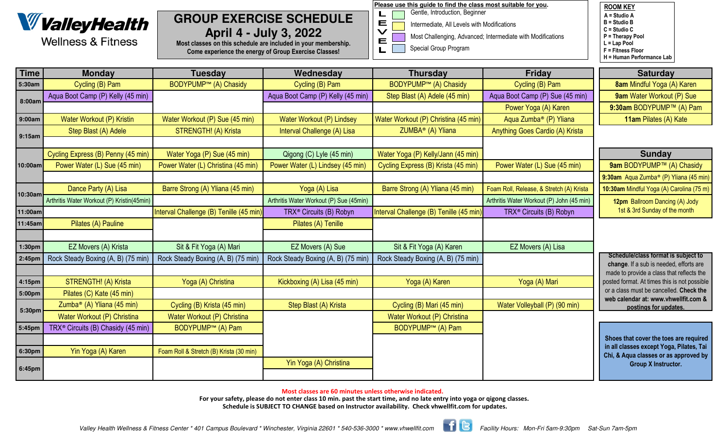

**Wellness & Fitness** 

# **GROUP EXERCISE SCHEDULEApril 4 - July 3, 2022**

 Most classes on this schedule are included in your membership.Come experience the energy of Group Exercise Classes!

**Please use this guide to find the class most suitable for you.**

Gentle, Introduction, Beginner

L

 $\begin{array}{c}\n\blacksquare \\
\blacktriangleright\n\end{array}$ 

E L

- Intermediate, All Levels with Modifications
- Most Challenging, Advanced; Intermediate with Modifications
- Special Group Program

ROOM KEY A = Studio A B = Studio B C = Studio C P = Therapy PoolL = Lap Pool F = Fitness FloorH = Human Performance Lab

| <b>Time</b> | <b>Monday</b>                                  | <b>Tuesday</b>                          | Wednesday                               | <b>Thursday</b>                         | <b>Friday</b>                             | <b>Saturday</b>                                                                   |
|-------------|------------------------------------------------|-----------------------------------------|-----------------------------------------|-----------------------------------------|-------------------------------------------|-----------------------------------------------------------------------------------|
| 5:30am      | Cycling (B) Pam                                | <b>BODYPUMP™ (A) Chasidy</b>            | Cycling (B) Pam                         | <b>BODYPUMP™ (A) Chasidy</b>            | Cycling (B) Pam                           | 8am Mindful Yoga (A) Karen                                                        |
| 8:00am      | Aqua Boot Camp (P) Kelly (45 min)              |                                         | Aqua Boot Camp (P) Kelly (45 min)       | Step Blast (A) Adele (45 min)           | Aqua Boot Camp (P) Sue (45 min)           | 9am Water Workout (P) Sue                                                         |
|             |                                                |                                         |                                         |                                         | Power Yoga (A) Karen                      | 9:30am BODYPUMP™ (A) Pam                                                          |
| 9:00am      | Water Workout (P) Kristin                      | Water Workout (P) Sue (45 min)          | Water Workout (P) Lindsey               | Water Workout (P) Christina (45 min)    | Aqua Zumba <sup>®</sup> (P) Yliana        | 11am Pilates (A) Kate                                                             |
| 9:15am      | Step Blast (A) Adele                           | STRENGTH! (A) Krista                    | Interval Challenge (A) Lisa             | ZUMBA <sup>®</sup> (A) Yliana           | Anything Goes Cardio (A) Krista           |                                                                                   |
|             |                                                |                                         |                                         |                                         |                                           |                                                                                   |
| 10:00am     | Cycling Express (B) Penny (45 min)             | Water Yoga (P) Sue (45 min)             | Qigong (C) Lyle (45 min)                | Water Yoga (P) Kelly/Jann (45 min)      |                                           | <b>Sunday</b>                                                                     |
|             | Power Water (L) Sue (45 min)                   | Power Water (L) Christina (45 min)      | Power Water (L) Lindsey (45 min)        | Cycling Express (B) Krista (45 min)     | Power Water (L) Sue (45 min)              | 9am BODYPUMP™ (A) Chasidy                                                         |
|             |                                                |                                         |                                         |                                         |                                           | 9:30am Aqua Zumba <sup>®</sup> (P) Yliana (45 min)                                |
| 10:30am     | Dance Party (A) Lisa                           | Barre Strong (A) Yliana (45 min)        | Yoga (A) Lisa                           | Barre Strong (A) Yliana (45 min)        | Foam Roll, Release, & Stretch (A) Krista  | 10:30am Mindful Yoga (A) Carolina (75 m)                                          |
|             | Arthritis Water Workout (P) Kristin(45min)     |                                         | Arthritis Water Workout (P) Sue (45min) |                                         | Arthritis Water Workout (P) John (45 min) | 12pm Ballroom Dancing (A) Jody                                                    |
| 11:00am     |                                                | Interval Challenge (B) Tenille (45 min) | TRX <sup>®</sup> Circuits (B) Robyn     | Interval Challenge (B) Tenille (45 min) | TRX <sup>®</sup> Circuits (B) Robyn       | 1st & 3rd Sunday of the month                                                     |
| 11:45am     | Pilates (A) Pauline                            |                                         | Pilates (A) Tenille                     |                                         |                                           |                                                                                   |
|             |                                                |                                         |                                         |                                         |                                           |                                                                                   |
| 1:30pm      | EZ Movers (A) Krista                           | Sit & Fit Yoga (A) Mari                 | EZ Movers (A) Sue                       | Sit & Fit Yoga (A) Karen                | EZ Movers (A) Lisa                        |                                                                                   |
| 2:45pm      | Rock Steady Boxing (A, B) (75 min)             | Rock Steady Boxing (A, B) (75 min)      | Rock Steady Boxing (A, B) (75 min)      | Rock Steady Boxing (A, B) (75 min)      |                                           | Schedule/class format is subject to<br>change. If a sub is needed, efforts are    |
|             |                                                |                                         |                                         |                                         |                                           | made to provide a class that reflects the                                         |
| 4:15pm      | STRENGTH! (A) Krista                           | Yoga (A) Christina                      | Kickboxing (A) Lisa (45 min)            | Yoga (A) Karen                          | Yoga (A) Mari                             | posted format. At times this is not possible                                      |
| 5:00pm      | Pilates (C) Kate (45 min)                      |                                         |                                         |                                         |                                           | or a class must be cancelled. Check the<br>web calendar at: www.vhwellfit.com &   |
| 5:30pm      | Zumba <sup>®</sup> (A) Yliana (45 min)         | Cycling (B) Krista (45 min)             | Step Blast (A) Krista                   | Cycling (B) Mari (45 min)               | Water Volleyball (P) (90 min)             | postings for updates.                                                             |
|             | Water Workout (P) Christina                    | Water Workout (P) Christina             |                                         | Water Workout (P) Christina             |                                           |                                                                                   |
| 5:45pm      | TRX <sup>®</sup> Circuits (B) Chasidy (45 min) | <b>BODYPUMP<sup>™</sup> (A) Pam</b>     |                                         | <b>BODYPUMP<sup>™</sup> (A) Pam</b>     |                                           |                                                                                   |
|             |                                                |                                         |                                         |                                         |                                           | Shoes that cover the toes are required                                            |
| 6:30pm      | Yin Yoga (A) Karen                             | Foam Roll & Stretch (B) Krista (30 min) |                                         |                                         |                                           | in all classes except Yoga, Pilates, Tai<br>Chi, & Aqua classes or as approved by |
| 6:45pm      |                                                |                                         | Yin Yoga (A) Christina                  |                                         |                                           | <b>Group X Instructor.</b>                                                        |
|             |                                                |                                         |                                         |                                         |                                           |                                                                                   |

Most classes are 60 minutes unless otherwise indicated.

For your safety, please do not enter class 10 min. past the start time, and no late entry into yoga or qigong classes. Schedule is SUBJECT TO CHANGE based on Instructor availability. Check vhwellfit.com for updates.